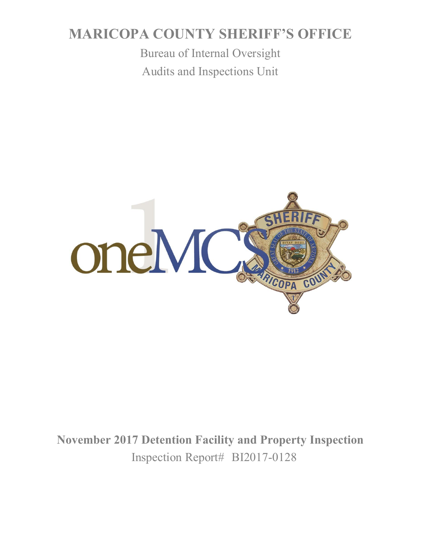# **MARICOPA COUNTY SHERIFF'S OFFICE**

Bureau of Internal Oversight Audits and Inspections Unit



**November 2017 Detention Facility and Property Inspection** Inspection Report# BI2017-0128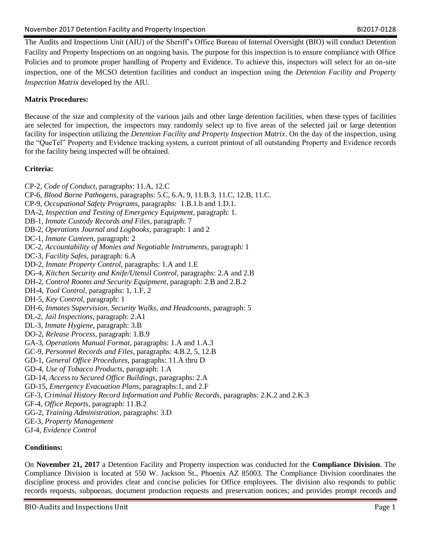The Audits and Inspections Unit (AIU) of the Sheriff's Office Bureau of Internal Oversight (BIO) will conduct Detention Facility and Property Inspections on an ongoing basis. The purpose for this inspection is to ensure compliance with Office Policies and to promote proper handling of Property and Evidence. To achieve this, inspectors will select for an on-site inspection, one of the MCSO detention facilities and conduct an inspection using the *Detention Facility and Property Inspection Matrix* developed by the AIU.

# **Matrix Procedures:**

Because of the size and complexity of the various jails and other large detention facilities, when these types of facilities are selected for inspection, the inspectors may randomly select up to five areas of the selected jail or large detention facility for inspection utilizing the *Detention Facility and Property Inspection Matrix*. On the day of the inspection, using the "QueTel" Property and Evidence tracking system, a current printout of all outstanding Property and Evidence records for the facility being inspected will be obtained.

# **Criteria:**

- CP-2, *Code of Conduct,* paragraphs: 11.A, 12.C
- CP-6, *Blood Borne Pathogens*, paragraphs: 5.C, 6.A, 9, 11.B.3, 11.C, 12.B, 11.C.
- CP-9, *Occupational Safety Programs*, paragraphs: 1.B.1.b and 1.D.1.
- DA-2, *Inspection and Testing of Emergency Equipment*, paragraph: 1.
- DB-1, *Inmate Custody Records and Files*, paragraph: 7
- DB-2, *Operations Journal and Logbooks*, paragraph: 1 and 2
- DC-1, *Inmate Canteen*, paragraph: 2
- DC-2, *Accountability of Monies and Negotiable Instruments*, paragraph: 1
- DC-3, *Facility Safes*, paragraph: 6.A
- DD-2, *Inmate Property Control*, paragraphs: 1.A and 1.E
- DG-4, *Kitchen Security and Knife/Utensil Control*, paragraphs: 2.A and 2.B
- DH-2, *Control Rooms and Security Equipment*, paragraph: 2.B and 2.B.2
- DH-4, *Tool Control*, paragraphs: 1, 1.F, 2
- DH-5, *Key Control*, paragraph: 1
- DH-6, *Inmates Supervision, Security Walks, and Headcounts*, paragraph: 5
- DL-2, *Jail Inspections*, paragraph: 2.A1
- DL-3, *Inmate Hygiene*, paragraph: 3.B
- DO-2, *Release Process*, paragraph: 1.B.9
- GA-3, *Operations Manual Format*, paragraphs: 1.A and 1.A.3
- GC-9, *Personnel Records and Files*, paragraphs: 4.B.2, 5, 12.B
- GD-1, *General Office Procedures*, paragraphs: 11.A thru D
- GD-4, *Use of Tobacco Products*, paragraph: 1.A
- GD-14, *Access to Secured Office Buildings*, paragraphs: 2.A
- GD-15, *Emergency Evacuation Plans*, paragraphs:1, and 2.F
- GF-3, *Criminal History Record Information and Public Records*, paragraphs: 2.K.2 and 2.K.3
- GF-4, *Office Reports*, paragraph: 11.B.2
- GG-2, *Training Administration*, paragraphs: 3.D
- GE-3, *Property Management*
- GJ-4, *Evidence Control*

# **Conditions:**

On **November 21, 2017** a Detention Facility and Property inspection was conducted for the **Compliance Division**. The Compliance Division is located at 550 W. Jackson St., Phoenix AZ 85003. The Compliance Division coordinates the discipline process and provides clear and concise policies for Office employees. The division also responds to public records requests, subpoenas, document production requests and preservation notices; and provides prompt records and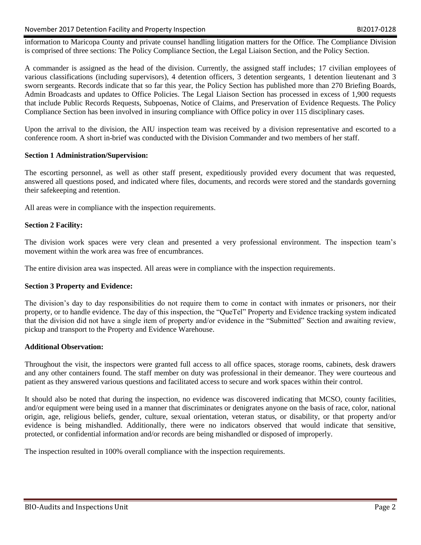information to Maricopa County and private counsel handling litigation matters for the Office. The Compliance Division is comprised of three sections: The Policy Compliance Section, the Legal Liaison Section, and the Policy Section.

A commander is assigned as the head of the division. Currently, the assigned staff includes; 17 civilian employees of various classifications (including supervisors), 4 detention officers, 3 detention sergeants, 1 detention lieutenant and 3 sworn sergeants. Records indicate that so far this year, the Policy Section has published more than 270 Briefing Boards, Admin Broadcasts and updates to Office Policies. The Legal Liaison Section has processed in excess of 1,900 requests that include Public Records Requests, Subpoenas, Notice of Claims, and Preservation of Evidence Requests. The Policy Compliance Section has been involved in insuring compliance with Office policy in over 115 disciplinary cases.

Upon the arrival to the division, the AIU inspection team was received by a division representative and escorted to a conference room. A short in-brief was conducted with the Division Commander and two members of her staff.

## **Section 1 Administration/Supervision:**

The escorting personnel, as well as other staff present, expeditiously provided every document that was requested, answered all questions posed, and indicated where files, documents, and records were stored and the standards governing their safekeeping and retention.

All areas were in compliance with the inspection requirements.

## **Section 2 Facility:**

The division work spaces were very clean and presented a very professional environment. The inspection team's movement within the work area was free of encumbrances.

The entire division area was inspected. All areas were in compliance with the inspection requirements.

#### **Section 3 Property and Evidence:**

The division's day to day responsibilities do not require them to come in contact with inmates or prisoners, nor their property, or to handle evidence. The day of this inspection, the "QueTel" Property and Evidence tracking system indicated that the division did not have a single item of property and/or evidence in the "Submitted" Section and awaiting review, pickup and transport to the Property and Evidence Warehouse.

#### **Additional Observation:**

Throughout the visit, the inspectors were granted full access to all office spaces, storage rooms, cabinets, desk drawers and any other containers found. The staff member on duty was professional in their demeanor. They were courteous and patient as they answered various questions and facilitated access to secure and work spaces within their control.

It should also be noted that during the inspection, no evidence was discovered indicating that MCSO, county facilities, and/or equipment were being used in a manner that discriminates or denigrates anyone on the basis of race, color, national origin, age, religious beliefs, gender, culture, sexual orientation, veteran status, or disability, or that property and/or evidence is being mishandled. Additionally, there were no indicators observed that would indicate that sensitive, protected, or confidential information and/or records are being mishandled or disposed of improperly.

The inspection resulted in 100% overall compliance with the inspection requirements.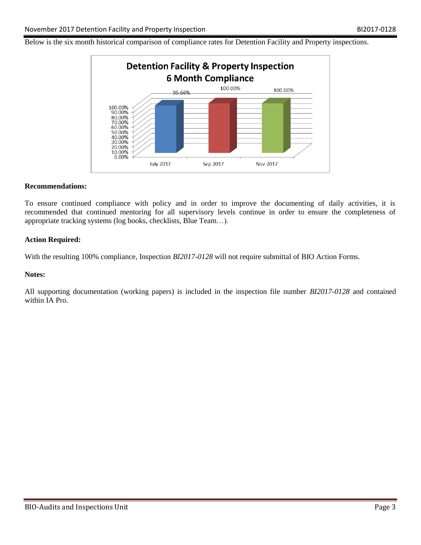Below is the six month historical comparison of compliance rates for Detention Facility and Property inspections.



#### **Recommendations:**

To ensure continued compliance with policy and in order to improve the documenting of daily activities, it is recommended that continued mentoring for all supervisory levels continue in order to ensure the completeness of appropriate tracking systems (log books, checklists, Blue Team…).

#### **Action Required:**

With the resulting 100% compliance, Inspection *BI2017-0128* will not require submittal of BIO Action Forms.

#### **Notes:**

All supporting documentation (working papers) is included in the inspection file number *BI2017-0128* and contained within IA Pro.